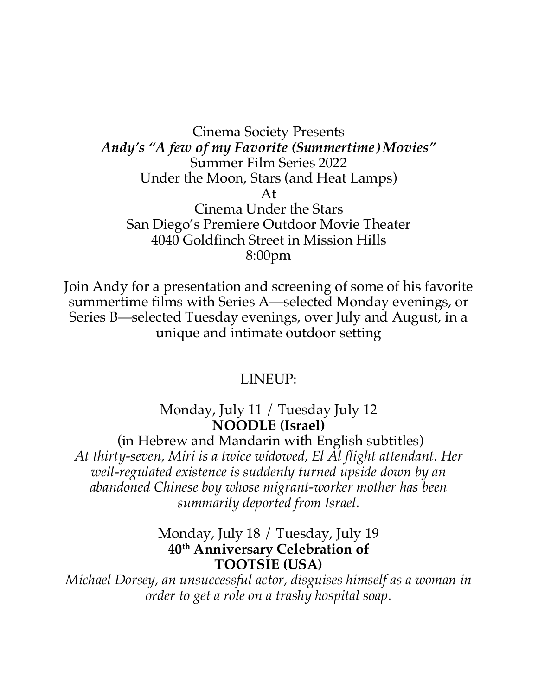Cinema Society Presents *Andy's "A few of my Favorite (Summertime) Movies"* Summer Film Series 2022 Under the Moon, Stars (and Heat Lamps) At Cinema Under the Stars San Diego's Premiere Outdoor Movie Theater 4040 Goldfinch Street in Mission Hills 8:00pm

Join Andy for a presentation and screening of some of his favorite summertime films with Series A—selected Monday evenings, or Series B—selected Tuesday evenings, over July and August, in a unique and intimate outdoor setting

#### LINEUP:

Monday, July 11 / Tuesday July 12 **NOODLE (Israel)**

(in Hebrew and Mandarin with English subtitles) *At thirty-seven, Miri is a twice widowed, El Al flight attendant. Her well-regulated existence is suddenly turned upside down by an abandoned Chinese boy whose migrant-worker mother has been summarily deported from Israel.*

#### Monday, July 18 / Tuesday, July 19 **40th Anniversary Celebration of TOOTSIE (USA)**

*Michael Dorsey, an unsuccessful actor, disguises himself as a woman in order to get a role on a trashy hospital soap.*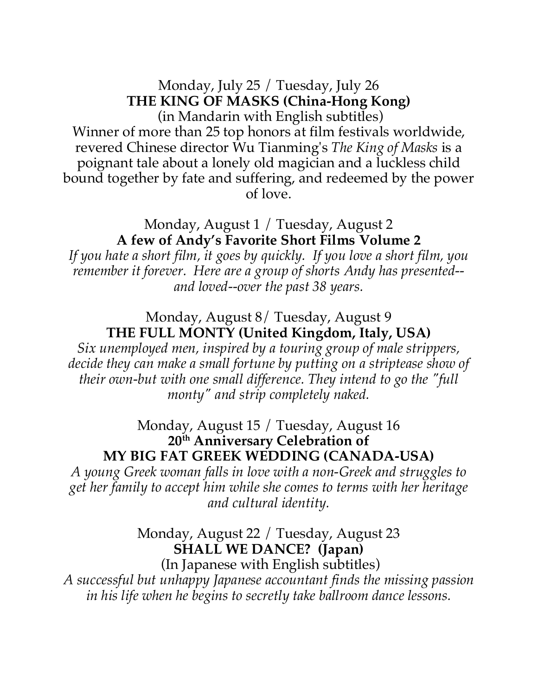### Monday, July 25 / Tuesday, July 26 **THE KING OF MASKS (China-Hong Kong)** (in Mandarin with English subtitles) Winner of more than 25 top honors at film festivals worldwide, revered Chinese director Wu Tianming's *The King of Masks* is a poignant tale about a lonely old magician and a luckless child bound together by fate and suffering, and redeemed by the power of love.

### Monday, August 1 / Tuesday, August 2 **A few of Andy's Favorite Short Films Volume 2**

*If you hate a short film, it goes by quickly. If you love a short film, you remember it forever. Here are a group of shorts Andy has presented- and loved--over the past 38 years.*

# Monday, August 8/ Tuesday, August 9 **THE FULL MONTY (United Kingdom, Italy, USA)**

*Six unemployed men, inspired by a touring group of male strippers, decide they can make a small fortune by putting on a striptease show of their own-but with one small difference. They intend to go the "full monty" and strip completely naked.*

Monday, August 15 / Tuesday, August 16 **20th Anniversary Celebration of MY BIG FAT GREEK WEDDING (CANADA-USA)**

*A young Greek woman falls in love with a non-Greek and struggles to get her family to accept him while she comes to terms with her heritage and cultural identity.*

## Monday, August 22 / Tuesday, August 23 **SHALL WE DANCE? (Japan)**

(In Japanese with English subtitles) *A successful but unhappy Japanese accountant finds the missing passion in his life when he begins to secretly take ballroom dance lessons.*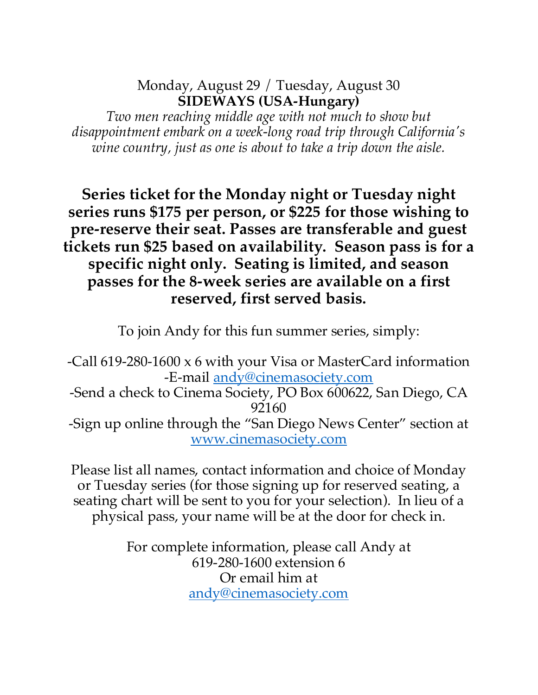# Monday, August 29 / Tuesday, August 30 **SIDEWAYS (USA-Hungary)**

*Two men reaching middle age with not much to show but disappointment embark on a week-long road trip through California's wine country, just as one is about to take a trip down the aisle.*

**Series ticket for the Monday night or Tuesday night series runs \$175 per person, or \$225 for those wishing to pre-reserve their seat. Passes are transferable and guest tickets run \$25 based on availability. Season pass is for a specific night only. Seating is limited, and season passes for the 8-week series are available on a first reserved, first served basis.** 

To join Andy for this fun summer series, simply:

-Call 619-280-1600 x 6 with your Visa or MasterCard information -E-mail andy@cinemasociety.com -Send a check to Cinema Society, PO Box 600622, San Diego, CA 92160 -Sign up online through the "San Diego News Center" section at www.cinemasociety.com

Please list all names, contact information and choice of Monday or Tuesday series (for those signing up for reserved seating, a seating chart will be sent to you for your selection). In lieu of a physical pass, your name will be at the door for check in.

> For complete information, please call Andy at 619-280-1600 extension 6 Or email him at andy@cinemasociety.com